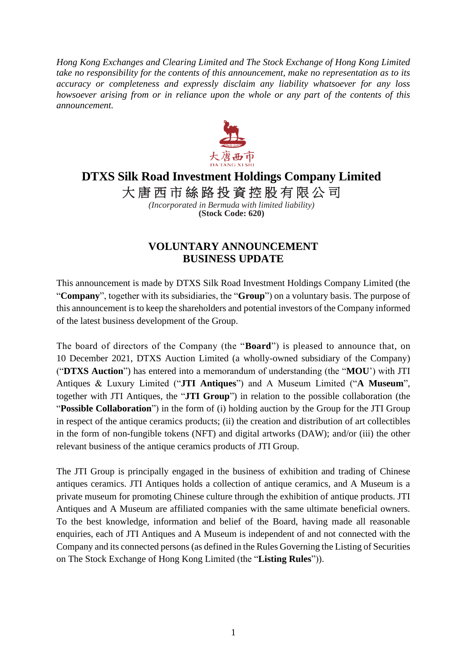*Hong Kong Exchanges and Clearing Limited and The Stock Exchange of Hong Kong Limited take no responsibility for the contents of this announcement, make no representation as to its accuracy or completeness and expressly disclaim any liability whatsoever for any loss howsoever arising from or in reliance upon the whole or any part of the contents of this announcement.*



## **DTXS Silk Road Investment Holdings Company Limited**

大唐西市絲路投資控股有限公司

*(Incorporated in Bermuda with limited liability)* **(Stock Code: 620)**

## **VOLUNTARY ANNOUNCEMENT BUSINESS UPDATE**

This announcement is made by DTXS Silk Road Investment Holdings Company Limited (the "**Company**", together with its subsidiaries, the "**Group**") on a voluntary basis. The purpose of this announcement is to keep the shareholders and potential investors of the Company informed of the latest business development of the Group.

The board of directors of the Company (the "**Board**") is pleased to announce that, on 10 December 2021, DTXS Auction Limited (a wholly-owned subsidiary of the Company) ("**DTXS Auction**") has entered into a memorandum of understanding (the "**MOU**') with JTI Antiques & Luxury Limited ("**JTI Antiques**") and A Museum Limited ("**A Museum**", together with JTI Antiques, the "**JTI Group**") in relation to the possible collaboration (the "**Possible Collaboration**") in the form of (i) holding auction by the Group for the JTI Group in respect of the antique ceramics products; (ii) the creation and distribution of art collectibles in the form of non-fungible tokens (NFT) and digital artworks (DAW); and/or (iii) the other relevant business of the antique ceramics products of JTI Group.

The JTI Group is principally engaged in the business of exhibition and trading of Chinese antiques ceramics. JTI Antiques holds a collection of antique ceramics, and A Museum is a private museum for promoting Chinese culture through the exhibition of antique products. JTI Antiques and A Museum are affiliated companies with the same ultimate beneficial owners. To the best knowledge, information and belief of the Board, having made all reasonable enquiries, each of JTI Antiques and A Museum is independent of and not connected with the Company and its connected persons (as defined in the Rules Governing the Listing of Securities on The Stock Exchange of Hong Kong Limited (the "**Listing Rules**")).